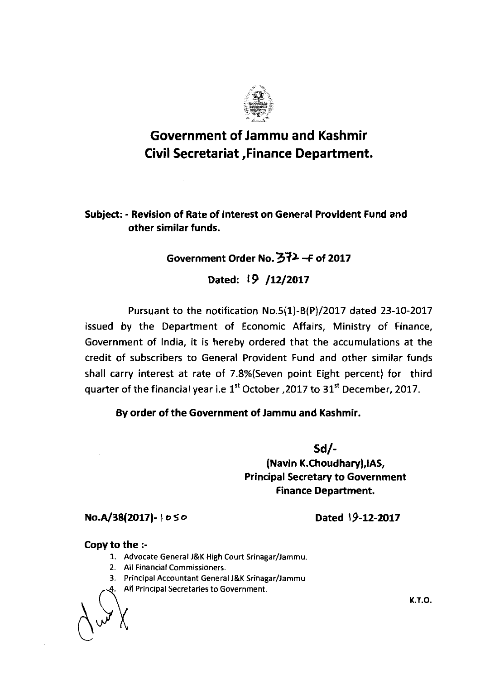

## **Government of Jammu and Kashmir Civil Secretariat ,Finance Department.**

**Subject:** - **Revision of Rate of Interest on General Provident Fund and other similar funds.** 

## **Government Order No. 372 -F of 2017**

**Dated: 19 /12/2017** 

Pursuant to the notification No.5(1)-B(P)/2017 dated 23-10-2017 issued by the Department of Economic Affairs, Ministry of Finance, Government of India, it is hereby ordered that the accumulations at the credit of subscribers to General Provident Fund and other similar funds shall carry interest at rate of 7.8%(Seven point Eight percent) for third quarter of the financial year i.e 1<sup>st</sup> October, 2017 to 31<sup>st</sup> December, 2017.

## **By order of the Government of Jammu and Kashmir.**

**Sd/- (Navin K.Choudhary),lAS, Principal Secretary to Government Finance Department.** 

No.A/38(2017)- | 050

**Dated 19-12-2017** 

## **Copy to the** :-

- 1. Advocate General J&K High Court Srinagar/Jammu.
- 2. All Financial Commissioners.
- 3. Principal Accountant General J&K Srinagar/Jammu
- All Principal Secretaries to Government.

A&

**K.T.O.**